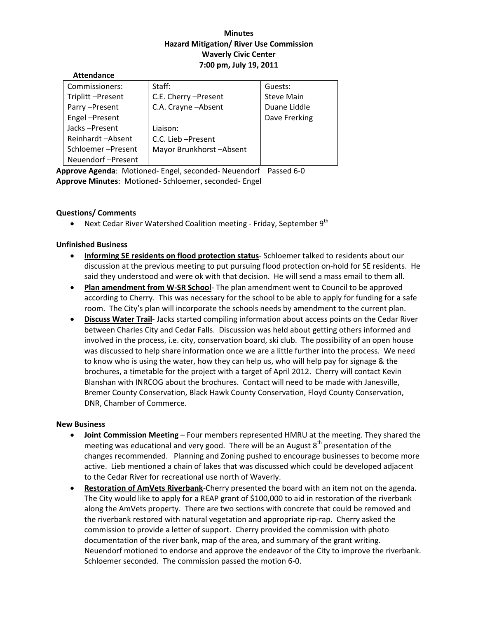# **Minutes Hazard Mitigation/ River Use Commission Waverly Civic Center 7:00 pm, July 19, 2011**

| Commissioners:    | Staff:                  | Guests:           |
|-------------------|-------------------------|-------------------|
| Triplitt-Present  | C.E. Cherry - Present   | <b>Steve Main</b> |
| Parry-Present     | C.A. Crayne - Absent    | Duane Liddle      |
| Engel-Present     |                         | Dave Frerking     |
| Jacks-Present     | Liaison:                |                   |
| Reinhardt-Absent  | C.C. Lieb-Present       |                   |
| Schloemer-Present | Mayor Brunkhorst-Absent |                   |
| Neuendorf-Present |                         |                   |

**Approve Agenda**: Motioned‐ Engel, seconded‐ Neuendorf Passed 6‐0 **Approve Minutes**: Motioned‐ Schloemer, seconded‐ Engel

# **Questions/ Comments**

**Attendance**

• Next Cedar River Watershed Coalition meeting - Friday, September  $9^{th}$ 

# **Unfinished Business**

- **Informing SE residents on flood protection status**‐ Schloemer talked to residents about our discussion at the previous meeting to put pursuing flood protection on‐hold for SE residents. He said they understood and were ok with that decision. He will send a mass email to them all.
- **Plan amendment from W‐SR School**‐ The plan amendment went to Council to be approved according to Cherry. This was necessary for the school to be able to apply for funding for a safe room. The City's plan will incorporate the schools needs by amendment to the current plan.
- **Discuss Water Trail**‐ Jacks started compiling information about access points on the Cedar River between Charles City and Cedar Falls. Discussion was held about getting others informed and involved in the process, i.e. city, conservation board, ski club. The possibility of an open house was discussed to help share information once we are a little further into the process. We need to know who is using the water, how they can help us, who will help pay for signage & the brochures, a timetable for the project with a target of April 2012. Cherry will contact Kevin Blanshan with INRCOG about the brochures. Contact will need to be made with Janesville, Bremer County Conservation, Black Hawk County Conservation, Floyd County Conservation, DNR, Chamber of Commerce.

### **New Business**

- **Joint Commission Meeting** Four members represented HMRU at the meeting. They shared the meeting was educational and very good. There will be an August  $8<sup>th</sup>$  presentation of the changes recommended. Planning and Zoning pushed to encourage businesses to become more active. Lieb mentioned a chain of lakes that was discussed which could be developed adjacent to the Cedar River for recreational use north of Waverly.
- **Restoration of AmVets Riverbank**‐Cherry presented the board with an item not on the agenda. The City would like to apply for a REAP grant of \$100,000 to aid in restoration of the riverbank along the AmVets property. There are two sections with concrete that could be removed and the riverbank restored with natural vegetation and appropriate rip-rap. Cherry asked the commission to provide a letter of support. Cherry provided the commission with photo documentation of the river bank, map of the area, and summary of the grant writing. Neuendorf motioned to endorse and approve the endeavor of the City to improve the riverbank. Schloemer seconded. The commission passed the motion 6‐0.